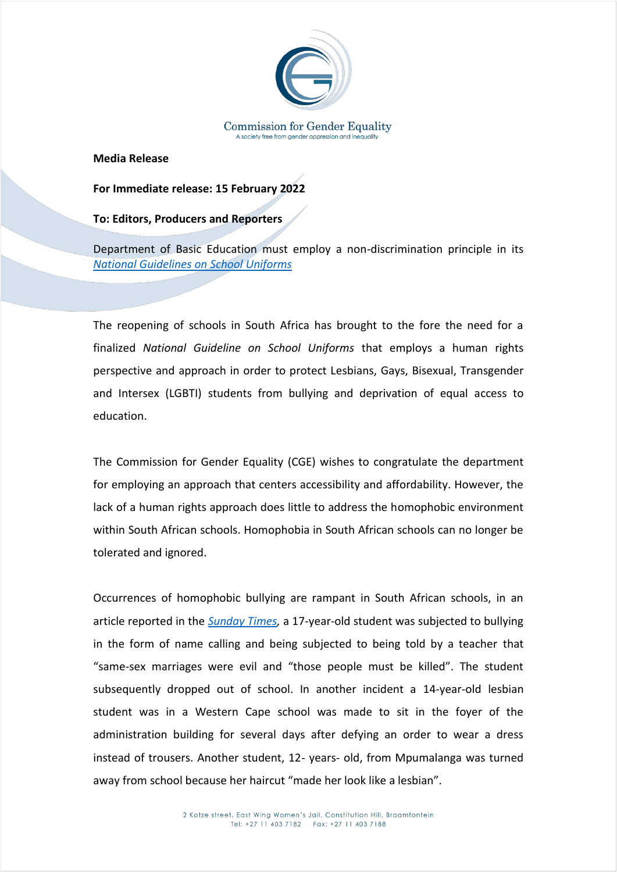

**Media Release**

## **For Immediate release: 15 February 2022**

## **To: Editors, Producers and Reporters**

Department of Basic Education must employ a non-discrimination principle in its *[National Guidelines on School Uniforms](https://static.pmg.org.za/docs/2005/050405lubisi.htm)*

The reopening of schools in South Africa has brought to the fore the need for a finalized *National Guideline on School Uniforms* that employs a human rights perspective and approach in order to protect Lesbians, Gays, Bisexual, Transgender and Intersex (LGBTI) students from bullying and deprivation of equal access to education.

The Commission for Gender Equality (CGE) wishes to congratulate the department for employing an approach that centers accessibility and affordability. However, the lack of a human rights approach does little to address the homophobic environment within South African schools. Homophobia in South African schools can no longer be tolerated and ignored.

Occurrences of homophobic bullying are rampant in South African schools, in an article reported in the *[Sunday Times,](https://www.timeslive.co.za/sunday-times/news/2016-03-20-department-tackles-hellish-bullying-of-gay-kids-at-schools/)* a 17-year-old student was subjected to bullying in the form of name calling and being subjected to being told by a teacher that "same-sex marriages were evil and "those people must be killed". The student subsequently dropped out of school. In another incident a 14-year-old lesbian student was in a Western Cape school was made to sit in the foyer of the administration building for several days after defying an order to wear a dress instead of trousers. Another student, 12- years- old, from Mpumalanga was turned away from school because her haircut "made her look like a lesbian".